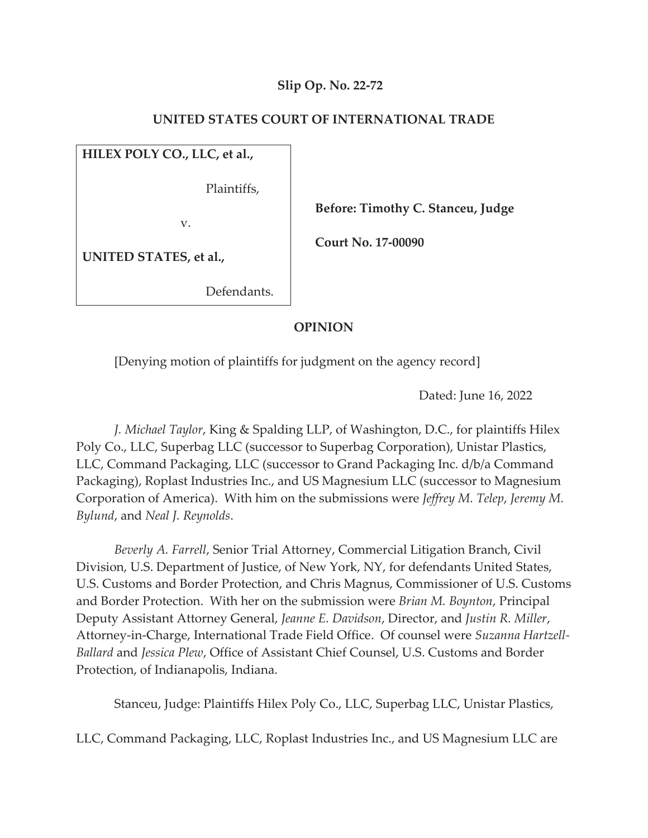### **Slip Op. No. 22-72**

### **UNITED STATES COURT OF INTERNATIONAL TRADE**

**HILEX POLY CO., LLC, et al.,** 

Plaintiffs,

v.

 **Before: Timothy C. Stanceu, Judge** 

 **Court No. 17-00090** 

**UNITED STATES, et al.,** 

Defendants.

### **OPINION**

[Denying motion of plaintiffs for judgment on the agency record]

Dated: June 16, 2022

*J. Michael Taylor*, King & Spalding LLP, of Washington, D.C., for plaintiffs Hilex Poly Co., LLC, Superbag LLC (successor to Superbag Corporation), Unistar Plastics, LLC, Command Packaging, LLC (successor to Grand Packaging Inc. d/b/a Command Packaging), Roplast Industries Inc., and US Magnesium LLC (successor to Magnesium Corporation of America). With him on the submissions were *Jeffrey M. Telep*, *Jeremy M. Bylund*, and *Neal J. Reynolds*.

*Beverly A. Farrell*, Senior Trial Attorney, Commercial Litigation Branch, Civil Division, U.S. Department of Justice, of New York, NY, for defendants United States, U.S. Customs and Border Protection, and Chris Magnus, Commissioner of U.S. Customs and Border Protection. With her on the submission were *Brian M. Boynton*, Principal Deputy Assistant Attorney General, *Jeanne E. Davidson*, Director, and *Justin R. Miller*, Attorney-in-Charge, International Trade Field Office. Of counsel were *Suzanna Hartzell-Ballard* and *Jessica Plew*, Office of Assistant Chief Counsel, U.S. Customs and Border Protection, of Indianapolis, Indiana.

Stanceu, Judge: Plaintiffs Hilex Poly Co., LLC, Superbag LLC, Unistar Plastics,

LLC, Command Packaging, LLC, Roplast Industries Inc., and US Magnesium LLC are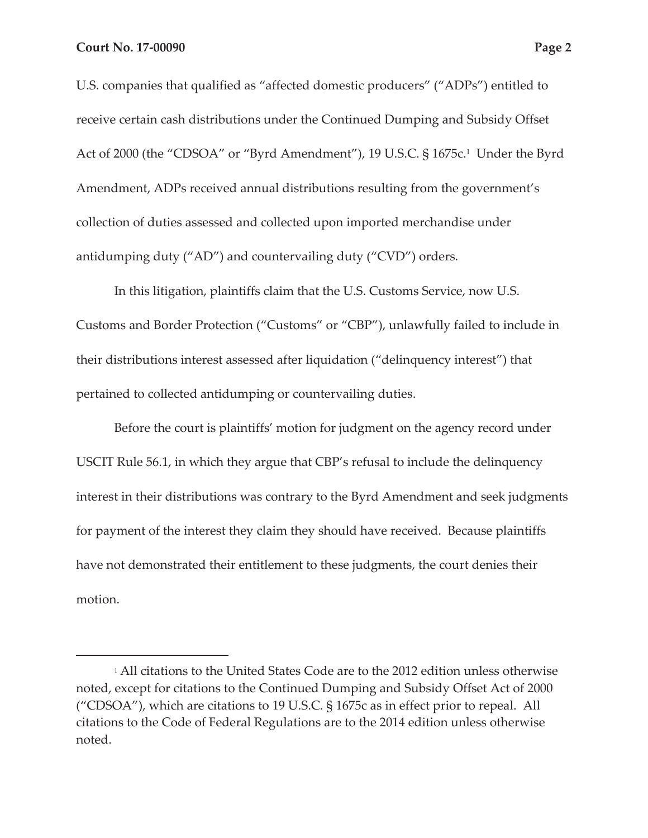U.S. companies that qualified as "affected domestic producers" ("ADPs") entitled to receive certain cash distributions under the Continued Dumping and Subsidy Offset Act of 2000 (the "CDSOA" or "Byrd Amendment"), 19 U.S.C. § 1675c.<sup>1</sup> Under the Byrd Amendment, ADPs received annual distributions resulting from the government's collection of duties assessed and collected upon imported merchandise under antidumping duty ("AD") and countervailing duty ("CVD") orders.

In this litigation, plaintiffs claim that the U.S. Customs Service, now U.S. Customs and Border Protection ("Customs" or "CBP"), unlawfully failed to include in their distributions interest assessed after liquidation ("delinquency interest") that pertained to collected antidumping or countervailing duties.

Before the court is plaintiffs' motion for judgment on the agency record under USCIT Rule 56.1, in which they argue that CBP's refusal to include the delinquency interest in their distributions was contrary to the Byrd Amendment and seek judgments for payment of the interest they claim they should have received. Because plaintiffs have not demonstrated their entitlement to these judgments, the court denies their motion.

<sup>1</sup> All citations to the United States Code are to the 2012 edition unless otherwise noted, except for citations to the Continued Dumping and Subsidy Offset Act of 2000 ("CDSOA"), which are citations to 19 U.S.C. § 1675c as in effect prior to repeal. All citations to the Code of Federal Regulations are to the 2014 edition unless otherwise noted.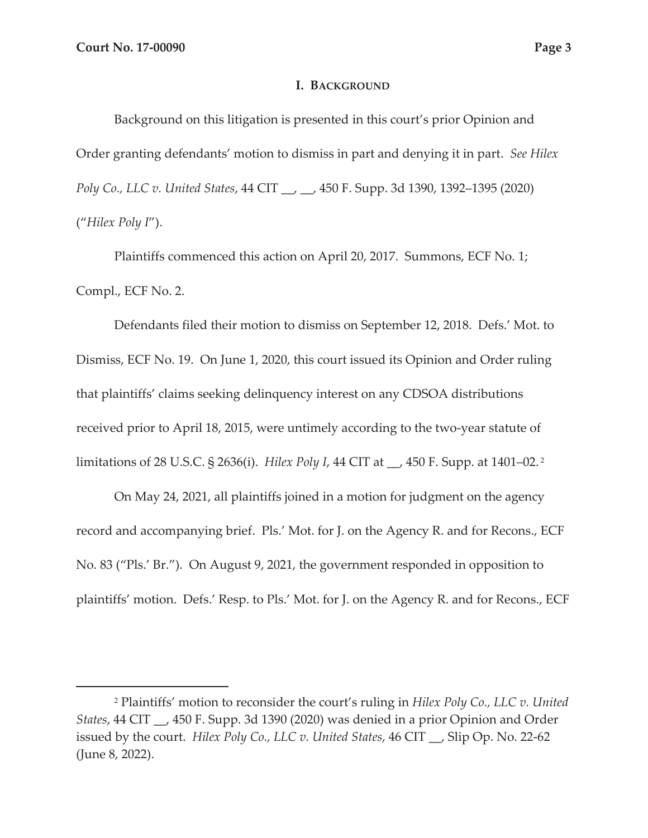#### **I. BACKGROUND**

Background on this litigation is presented in this court's prior Opinion and Order granting defendants' motion to dismiss in part and denying it in part. *See Hilex Poly Co., LLC v. United States*, 44 CIT \_\_, \_\_, 450 F. Supp. 3d 1390, 1392–1395 (2020) ("*Hilex Poly I*").

Plaintiffs commenced this action on April 20, 2017. Summons, ECF No. 1; Compl., ECF No. 2.

Defendants filed their motion to dismiss on September 12, 2018. Defs.' Mot. to Dismiss, ECF No. 19. On June 1, 2020, this court issued its Opinion and Order ruling that plaintiffs' claims seeking delinquency interest on any CDSOA distributions received prior to April 18, 2015, were untimely according to the two-year statute of limitations of 28 U.S.C. § 2636(i). *Hilex Poly I*, 44 CIT at \_\_, 450 F. Supp. at 1401–02. 2

On May 24, 2021, all plaintiffs joined in a motion for judgment on the agency record and accompanying brief. Pls.' Mot. for J. on the Agency R. and for Recons., ECF No. 83 ("Pls.' Br."). On August 9, 2021, the government responded in opposition to plaintiffs' motion. Defs.' Resp. to Pls.' Mot. for J. on the Agency R. and for Recons., ECF

<sup>2</sup> Plaintiffs' motion to reconsider the court's ruling in *Hilex Poly Co., LLC v. United States*, 44 CIT \_\_, 450 F. Supp. 3d 1390 (2020) was denied in a prior Opinion and Order issued by the court. *Hilex Poly Co., LLC v. United States*, 46 CIT \_\_, Slip Op. No. 22-62 (June 8, 2022).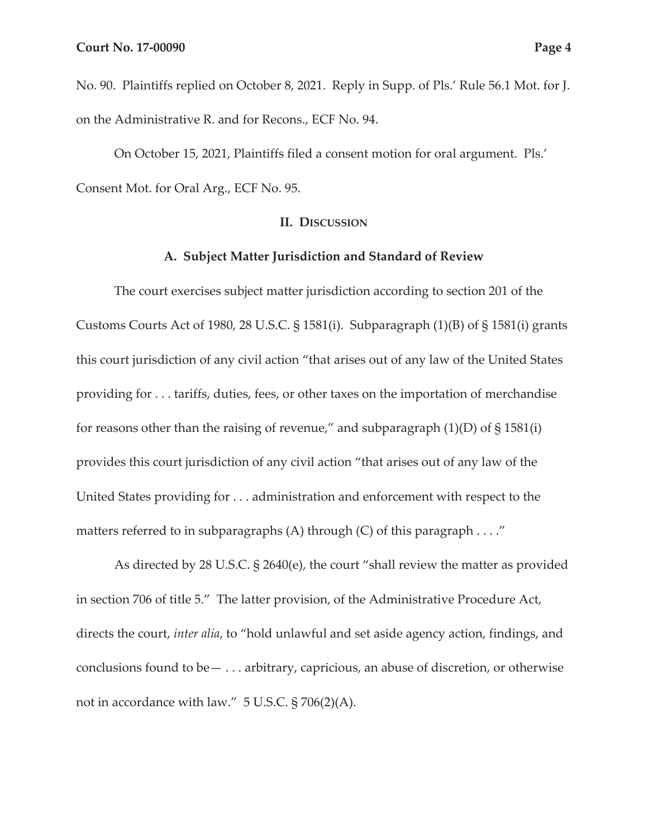No. 90. Plaintiffs replied on October 8, 2021. Reply in Supp. of Pls.' Rule 56.1 Mot. for J. on the Administrative R. and for Recons., ECF No. 94.

On October 15, 2021, Plaintiffs filed a consent motion for oral argument. Pls.' Consent Mot. for Oral Arg., ECF No. 95.

### **II. DISCUSSION**

### **A. Subject Matter Jurisdiction and Standard of Review**

The court exercises subject matter jurisdiction according to section 201 of the Customs Courts Act of 1980, 28 U.S.C. § 1581(i). Subparagraph (1)(B) of § 1581(i) grants this court jurisdiction of any civil action "that arises out of any law of the United States providing for . . . tariffs, duties, fees, or other taxes on the importation of merchandise for reasons other than the raising of revenue," and subparagraph  $(1)(D)$  of  $\S 1581(i)$ provides this court jurisdiction of any civil action "that arises out of any law of the United States providing for . . . administration and enforcement with respect to the matters referred to in subparagraphs (A) through (C) of this paragraph . . . ."

As directed by 28 U.S.C. § 2640(e), the court "shall review the matter as provided in section 706 of title 5." The latter provision, of the Administrative Procedure Act, directs the court, *inter alia*, to "hold unlawful and set aside agency action, findings, and conclusions found to be— . . . arbitrary, capricious, an abuse of discretion, or otherwise not in accordance with law." 5 U.S.C. § 706(2)(A).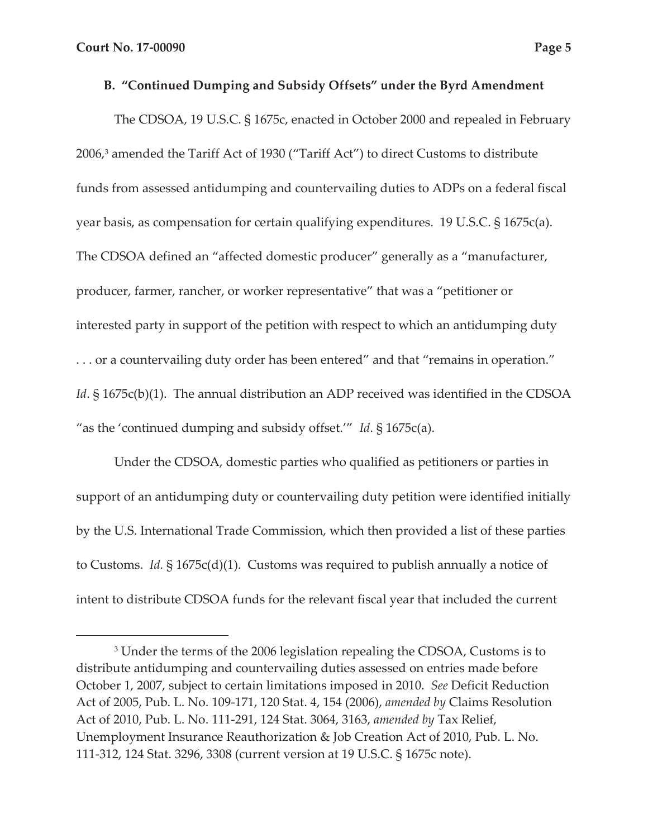### **B. "Continued Dumping and Subsidy Offsets" under the Byrd Amendment**

The CDSOA, 19 U.S.C. § 1675c, enacted in October 2000 and repealed in February 2006,3 amended the Tariff Act of 1930 ("Tariff Act") to direct Customs to distribute funds from assessed antidumping and countervailing duties to ADPs on a federal fiscal year basis, as compensation for certain qualifying expenditures. 19 U.S.C. § 1675c(a). The CDSOA defined an "affected domestic producer" generally as a "manufacturer, producer, farmer, rancher, or worker representative" that was a "petitioner or interested party in support of the petition with respect to which an antidumping duty . . . or a countervailing duty order has been entered" and that "remains in operation." *Id*. § 1675c(b)(1). The annual distribution an ADP received was identified in the CDSOA "as the 'continued dumping and subsidy offset.'" *Id*. § 1675c(a).

Under the CDSOA, domestic parties who qualified as petitioners or parties in support of an antidumping duty or countervailing duty petition were identified initially by the U.S. International Trade Commission, which then provided a list of these parties to Customs. *Id.* § 1675c(d)(1). Customs was required to publish annually a notice of intent to distribute CDSOA funds for the relevant fiscal year that included the current

<sup>&</sup>lt;sup>3</sup> Under the terms of the 2006 legislation repealing the CDSOA, Customs is to distribute antidumping and countervailing duties assessed on entries made before October 1, 2007, subject to certain limitations imposed in 2010. *See* Deficit Reduction Act of 2005, Pub. L. No. 109-171, 120 Stat. 4, 154 (2006), *amended by* Claims Resolution Act of 2010, Pub. L. No. 111-291, 124 Stat. 3064, 3163, *amended by* Tax Relief, Unemployment Insurance Reauthorization & Job Creation Act of 2010, Pub. L. No. 111-312, 124 Stat. 3296, 3308 (current version at 19 U.S.C. § 1675c note).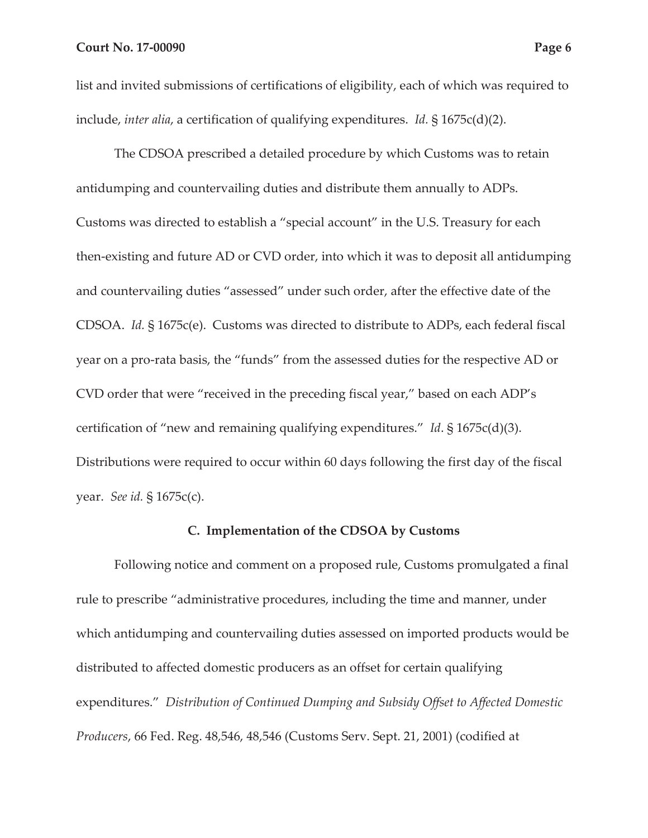list and invited submissions of certifications of eligibility, each of which was required to include, *inter alia*, a certification of qualifying expenditures. *Id.* § 1675c(d)(2).

The CDSOA prescribed a detailed procedure by which Customs was to retain antidumping and countervailing duties and distribute them annually to ADPs. Customs was directed to establish a "special account" in the U.S. Treasury for each then-existing and future AD or CVD order, into which it was to deposit all antidumping and countervailing duties "assessed" under such order, after the effective date of the CDSOA. *Id.* § 1675c(e). Customs was directed to distribute to ADPs, each federal fiscal year on a pro-rata basis, the "funds" from the assessed duties for the respective AD or CVD order that were "received in the preceding fiscal year," based on each ADP's certification of "new and remaining qualifying expenditures." *Id*. § 1675c(d)(3). Distributions were required to occur within 60 days following the first day of the fiscal year. *See id.* § 1675c(c).

#### **C. Implementation of the CDSOA by Customs**

Following notice and comment on a proposed rule, Customs promulgated a final rule to prescribe "administrative procedures, including the time and manner, under which antidumping and countervailing duties assessed on imported products would be distributed to affected domestic producers as an offset for certain qualifying expenditures." *Distribution of Continued Dumping and Subsidy Offset to Affected Domestic Producers*, 66 Fed. Reg. 48,546, 48,546 (Customs Serv. Sept. 21, 2001) (codified at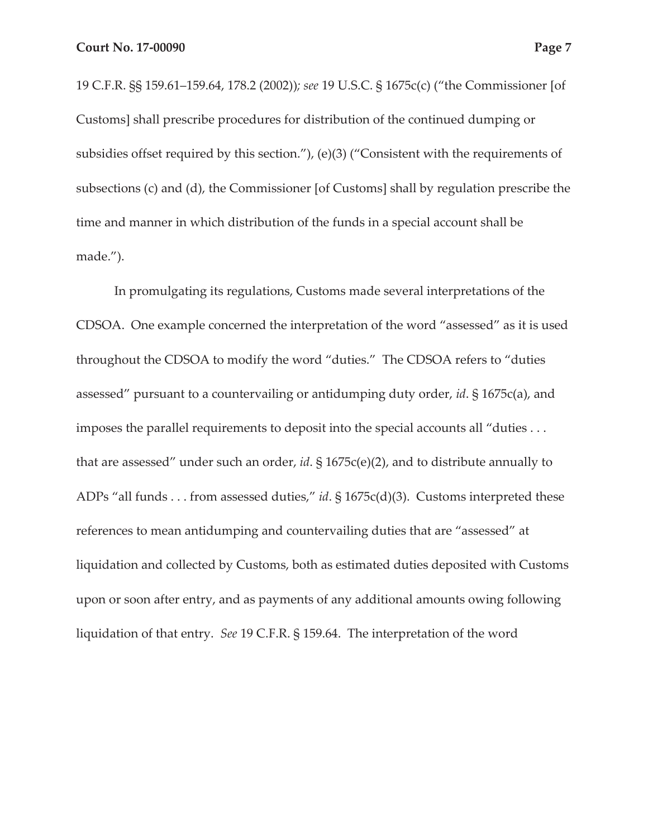19 C.F.R. §§ 159.61–159.64, 178.2 (2002))*; see* 19 U.S.C. § 1675c(c) ("the Commissioner [of Customs] shall prescribe procedures for distribution of the continued dumping or subsidies offset required by this section."), (e)(3) ("Consistent with the requirements of subsections (c) and (d), the Commissioner [of Customs] shall by regulation prescribe the time and manner in which distribution of the funds in a special account shall be made.").

In promulgating its regulations, Customs made several interpretations of the CDSOA. One example concerned the interpretation of the word "assessed" as it is used throughout the CDSOA to modify the word "duties." The CDSOA refers to "duties assessed" pursuant to a countervailing or antidumping duty order, *id*. § 1675c(a), and imposes the parallel requirements to deposit into the special accounts all "duties . . . that are assessed" under such an order, *id*. § 1675c(e)(2), and to distribute annually to ADPs "all funds . . . from assessed duties," *id*. § 1675c(d)(3). Customs interpreted these references to mean antidumping and countervailing duties that are "assessed" at liquidation and collected by Customs, both as estimated duties deposited with Customs upon or soon after entry, and as payments of any additional amounts owing following liquidation of that entry. *See* 19 C.F.R. § 159.64. The interpretation of the word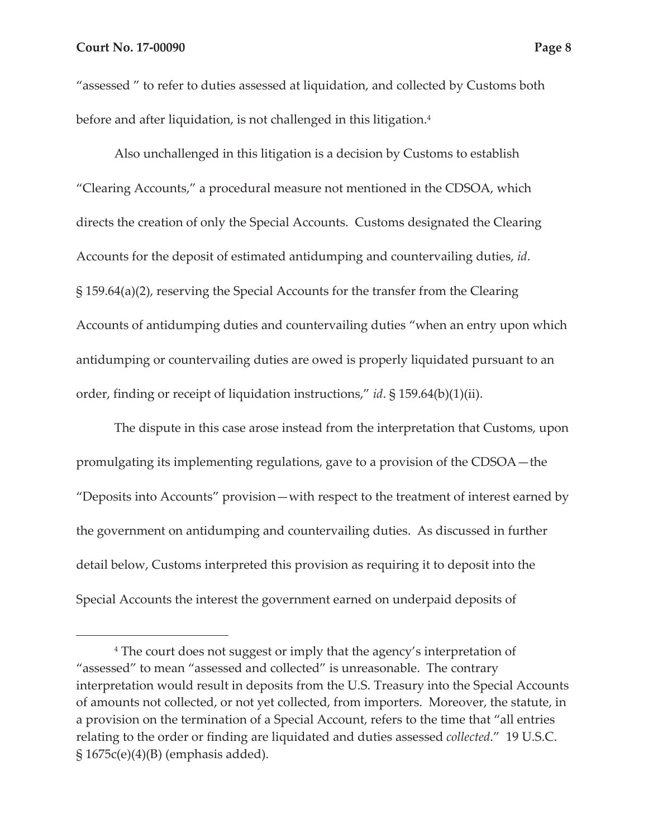"assessed " to refer to duties assessed at liquidation, and collected by Customs both before and after liquidation, is not challenged in this litigation.<sup>4</sup>

Also unchallenged in this litigation is a decision by Customs to establish "Clearing Accounts," a procedural measure not mentioned in the CDSOA, which directs the creation of only the Special Accounts. Customs designated the Clearing Accounts for the deposit of estimated antidumping and countervailing duties, *id*. § 159.64(a)(2), reserving the Special Accounts for the transfer from the Clearing Accounts of antidumping duties and countervailing duties "when an entry upon which antidumping or countervailing duties are owed is properly liquidated pursuant to an order, finding or receipt of liquidation instructions," *id*. § 159.64(b)(1)(ii).

The dispute in this case arose instead from the interpretation that Customs, upon promulgating its implementing regulations, gave to a provision of the CDSOA—the "Deposits into Accounts" provision—with respect to the treatment of interest earned by the government on antidumping and countervailing duties. As discussed in further detail below, Customs interpreted this provision as requiring it to deposit into the Special Accounts the interest the government earned on underpaid deposits of

<sup>4</sup> The court does not suggest or imply that the agency's interpretation of "assessed" to mean "assessed and collected" is unreasonable. The contrary interpretation would result in deposits from the U.S. Treasury into the Special Accounts of amounts not collected, or not yet collected, from importers. Moreover, the statute, in a provision on the termination of a Special Account, refers to the time that "all entries relating to the order or finding are liquidated and duties assessed *collected*." 19 U.S.C.  $\S 1675c(e)(4)(B)$  (emphasis added).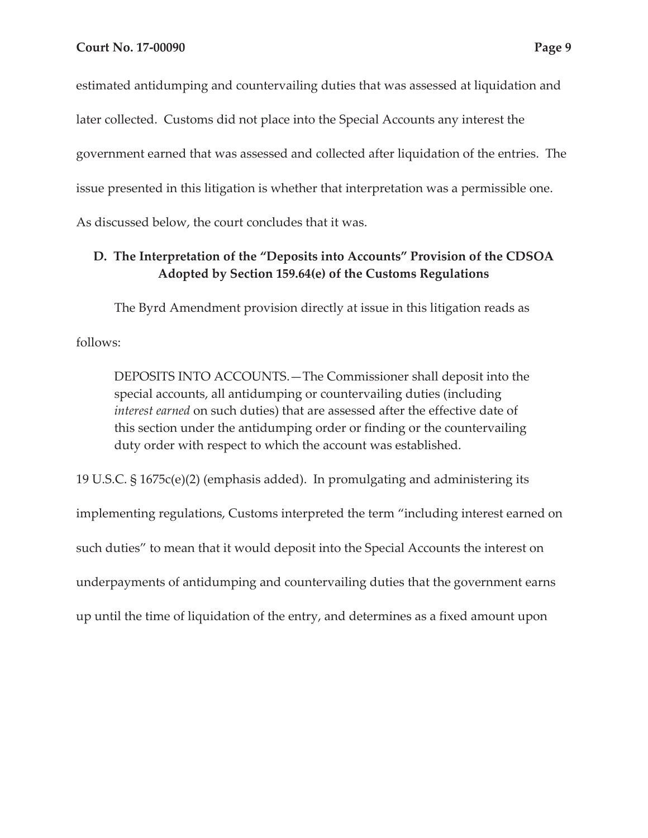estimated antidumping and countervailing duties that was assessed at liquidation and later collected. Customs did not place into the Special Accounts any interest the government earned that was assessed and collected after liquidation of the entries. The issue presented in this litigation is whether that interpretation was a permissible one. As discussed below, the court concludes that it was.

# **D. The Interpretation of the "Deposits into Accounts" Provision of the CDSOA Adopted by Section 159.64(e) of the Customs Regulations**

The Byrd Amendment provision directly at issue in this litigation reads as follows:

DEPOSITS INTO ACCOUNTS.—The Commissioner shall deposit into the special accounts, all antidumping or countervailing duties (including *interest earned* on such duties) that are assessed after the effective date of this section under the antidumping order or finding or the countervailing duty order with respect to which the account was established.

19 U.S.C. § 1675c(e)(2) (emphasis added). In promulgating and administering its implementing regulations, Customs interpreted the term "including interest earned on such duties" to mean that it would deposit into the Special Accounts the interest on underpayments of antidumping and countervailing duties that the government earns up until the time of liquidation of the entry, and determines as a fixed amount upon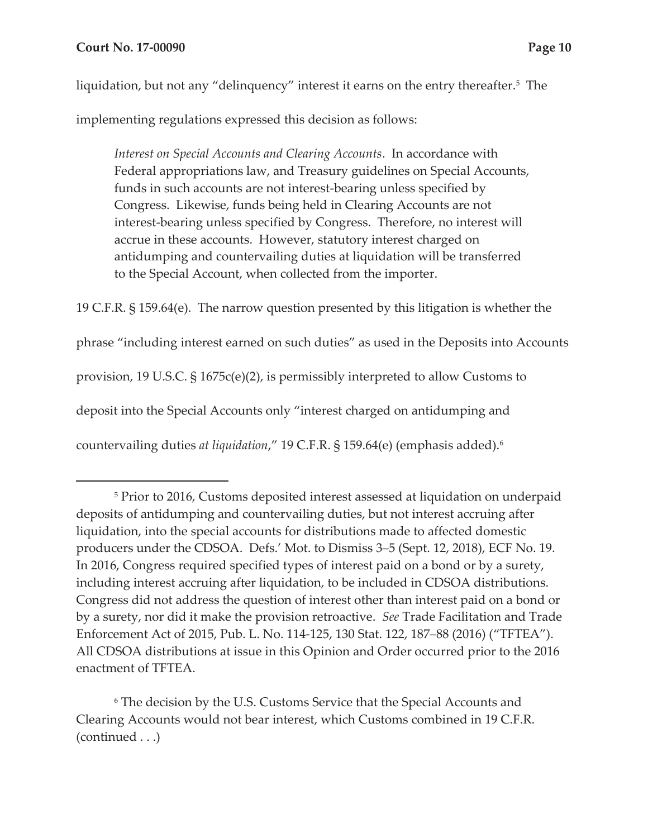liquidation, but not any "delinquency" interest it earns on the entry thereafter.<sup>5</sup> The

implementing regulations expressed this decision as follows:

*Interest on Special Accounts and Clearing Accounts*. In accordance with Federal appropriations law, and Treasury guidelines on Special Accounts, funds in such accounts are not interest-bearing unless specified by Congress. Likewise, funds being held in Clearing Accounts are not interest-bearing unless specified by Congress. Therefore, no interest will accrue in these accounts. However, statutory interest charged on antidumping and countervailing duties at liquidation will be transferred to the Special Account, when collected from the importer.

19 C.F.R. § 159.64(e). The narrow question presented by this litigation is whether the phrase "including interest earned on such duties" as used in the Deposits into Accounts provision, 19 U.S.C. § 1675c(e)(2), is permissibly interpreted to allow Customs to deposit into the Special Accounts only "interest charged on antidumping and countervailing duties *at liquidation*," 19 C.F.R. § 159.64(e) (emphasis added).6

6 The decision by the U.S. Customs Service that the Special Accounts and Clearing Accounts would not bear interest, which Customs combined in 19 C.F.R. (continued . . .)

<sup>5</sup> Prior to 2016, Customs deposited interest assessed at liquidation on underpaid deposits of antidumping and countervailing duties, but not interest accruing after liquidation, into the special accounts for distributions made to affected domestic producers under the CDSOA. Defs.' Mot. to Dismiss 3–5 (Sept. 12, 2018), ECF No. 19. In 2016, Congress required specified types of interest paid on a bond or by a surety, including interest accruing after liquidation, to be included in CDSOA distributions. Congress did not address the question of interest other than interest paid on a bond or by a surety, nor did it make the provision retroactive. *See* Trade Facilitation and Trade Enforcement Act of 2015, Pub. L. No. 114-125, 130 Stat. 122, 187–88 (2016) ("TFTEA"). All CDSOA distributions at issue in this Opinion and Order occurred prior to the 2016 enactment of TFTEA.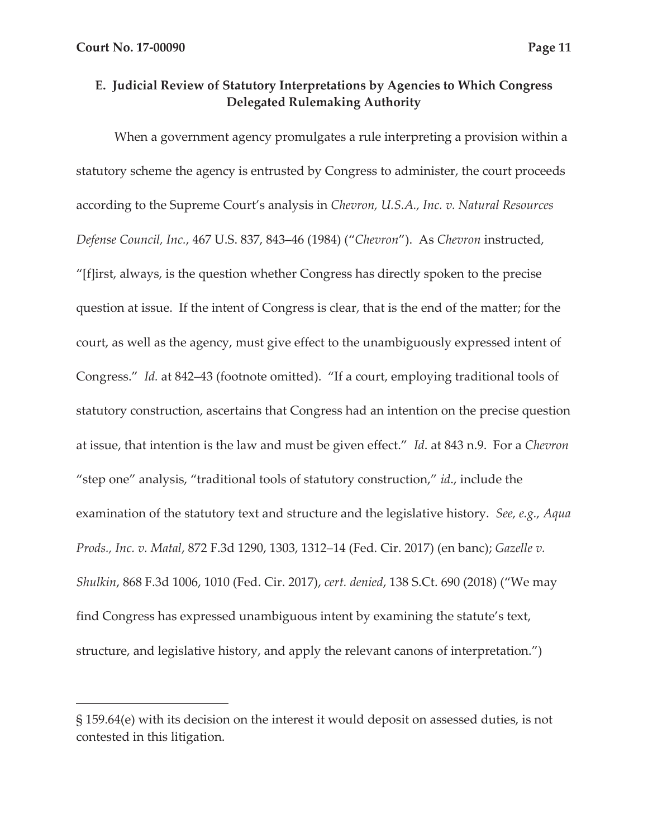### **E. Judicial Review of Statutory Interpretations by Agencies to Which Congress Delegated Rulemaking Authority**

When a government agency promulgates a rule interpreting a provision within a statutory scheme the agency is entrusted by Congress to administer, the court proceeds according to the Supreme Court's analysis in *Chevron, U.S.A., Inc. v. Natural Resources Defense Council, Inc.*, 467 U.S. 837, 843–46 (1984) ("*Chevron*"). As *Chevron* instructed, "[f]irst, always, is the question whether Congress has directly spoken to the precise question at issue. If the intent of Congress is clear, that is the end of the matter; for the court, as well as the agency, must give effect to the unambiguously expressed intent of Congress." *Id.* at 842–43 (footnote omitted). "If a court, employing traditional tools of statutory construction, ascertains that Congress had an intention on the precise question at issue, that intention is the law and must be given effect." *Id*. at 843 n.9. For a *Chevron*  "step one" analysis, "traditional tools of statutory construction," *id*., include the examination of the statutory text and structure and the legislative history. *See, e.g., Aqua Prods., Inc. v. Matal*, 872 F.3d 1290, 1303, 1312–14 (Fed. Cir. 2017) (en banc); *Gazelle v. Shulkin*, 868 F.3d 1006, 1010 (Fed. Cir. 2017), *cert. denied*, 138 S.Ct. 690 (2018) ("We may find Congress has expressed unambiguous intent by examining the statute's text, structure, and legislative history, and apply the relevant canons of interpretation.")

<sup>§ 159.64(</sup>e) with its decision on the interest it would deposit on assessed duties, is not contested in this litigation.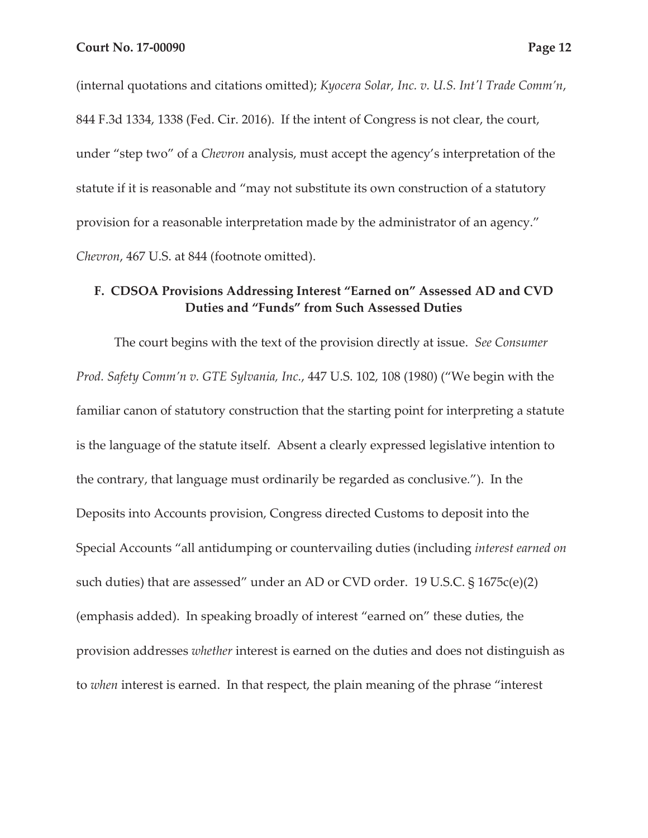(internal quotations and citations omitted); *Kyocera Solar, Inc. v. U.S. Int'l Trade Comm'n*, 844 F.3d 1334, 1338 (Fed. Cir. 2016). If the intent of Congress is not clear, the court, under "step two" of a *Chevron* analysis, must accept the agency's interpretation of the statute if it is reasonable and "may not substitute its own construction of a statutory provision for a reasonable interpretation made by the administrator of an agency." *Chevron*, 467 U.S. at 844 (footnote omitted).

## **F. CDSOA Provisions Addressing Interest "Earned on" Assessed AD and CVD Duties and "Funds" from Such Assessed Duties**

The court begins with the text of the provision directly at issue. *See Consumer Prod. Safety Comm'n v. GTE Sylvania, Inc.*, 447 U.S. 102, 108 (1980) ("We begin with the familiar canon of statutory construction that the starting point for interpreting a statute is the language of the statute itself. Absent a clearly expressed legislative intention to the contrary, that language must ordinarily be regarded as conclusive*.*"). In the Deposits into Accounts provision, Congress directed Customs to deposit into the Special Accounts "all antidumping or countervailing duties (including *interest earned on* such duties) that are assessed" under an AD or CVD order. 19 U.S.C. § 1675c(e)(2) (emphasis added). In speaking broadly of interest "earned on" these duties, the provision addresses *whether* interest is earned on the duties and does not distinguish as to *when* interest is earned. In that respect, the plain meaning of the phrase "interest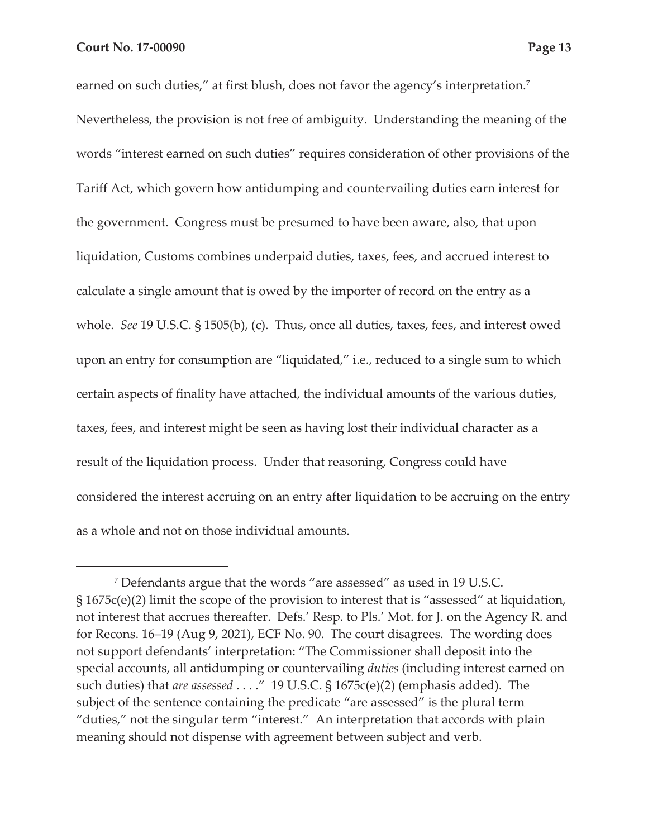earned on such duties," at first blush, does not favor the agency's interpretation. $^7$ Nevertheless, the provision is not free of ambiguity. Understanding the meaning of the words "interest earned on such duties" requires consideration of other provisions of the Tariff Act, which govern how antidumping and countervailing duties earn interest for the government. Congress must be presumed to have been aware, also, that upon liquidation, Customs combines underpaid duties, taxes, fees, and accrued interest to calculate a single amount that is owed by the importer of record on the entry as a whole. *See* 19 U.S.C. § 1505(b), (c). Thus, once all duties, taxes, fees, and interest owed upon an entry for consumption are "liquidated," i.e., reduced to a single sum to which certain aspects of finality have attached, the individual amounts of the various duties, taxes, fees, and interest might be seen as having lost their individual character as a result of the liquidation process. Under that reasoning, Congress could have considered the interest accruing on an entry after liquidation to be accruing on the entry as a whole and not on those individual amounts.

<sup>7</sup> Defendants argue that the words "are assessed" as used in 19 U.S.C. § 1675c(e)(2) limit the scope of the provision to interest that is "assessed" at liquidation, not interest that accrues thereafter. Defs.' Resp. to Pls.' Mot. for J. on the Agency R. and for Recons. 16–19 (Aug 9, 2021), ECF No. 90. The court disagrees. The wording does not support defendants' interpretation: "The Commissioner shall deposit into the special accounts, all antidumping or countervailing *duties* (including interest earned on such duties) that *are assessed* . . . ." 19 U.S.C. § 1675c(e)(2) (emphasis added). The subject of the sentence containing the predicate "are assessed" is the plural term "duties," not the singular term "interest." An interpretation that accords with plain meaning should not dispense with agreement between subject and verb.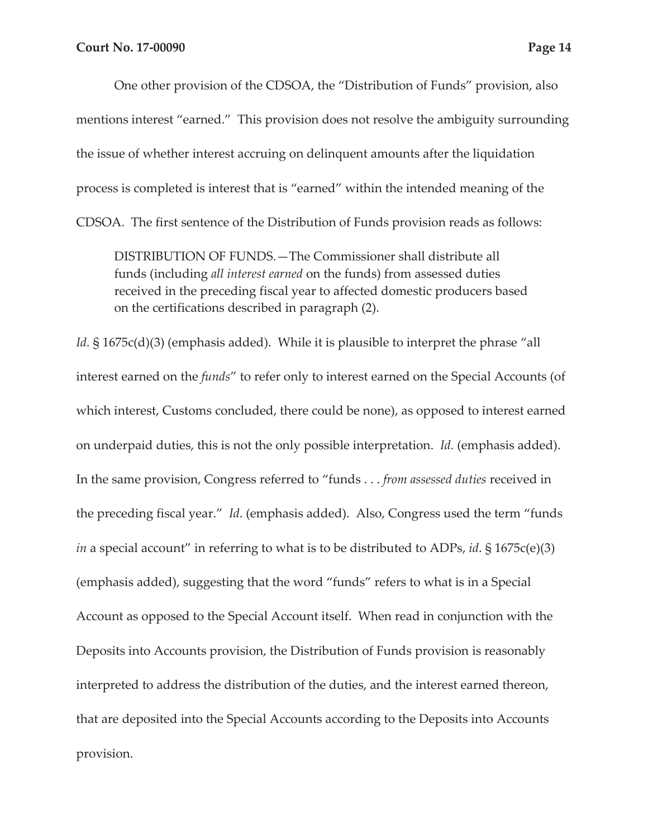One other provision of the CDSOA, the "Distribution of Funds" provision, also mentions interest "earned." This provision does not resolve the ambiguity surrounding the issue of whether interest accruing on delinquent amounts after the liquidation process is completed is interest that is "earned" within the intended meaning of the CDSOA. The first sentence of the Distribution of Funds provision reads as follows:

DISTRIBUTION OF FUNDS.—The Commissioner shall distribute all funds (including *all interest earned* on the funds) from assessed duties received in the preceding fiscal year to affected domestic producers based on the certifications described in paragraph (2).

*Id.* § 1675c(d)(3) (emphasis added). While it is plausible to interpret the phrase "all interest earned on the *funds*" to refer only to interest earned on the Special Accounts (of which interest, Customs concluded, there could be none), as opposed to interest earned on underpaid duties, this is not the only possible interpretation. *Id.* (emphasis added). In the same provision, Congress referred to "funds . . . *from assessed duties* received in the preceding fiscal year." *Id*. (emphasis added). Also, Congress used the term "funds *in* a special account" in referring to what is to be distributed to ADPs, *id*. § 1675c(e)(3) (emphasis added), suggesting that the word "funds" refers to what is in a Special Account as opposed to the Special Account itself. When read in conjunction with the Deposits into Accounts provision, the Distribution of Funds provision is reasonably interpreted to address the distribution of the duties, and the interest earned thereon, that are deposited into the Special Accounts according to the Deposits into Accounts provision.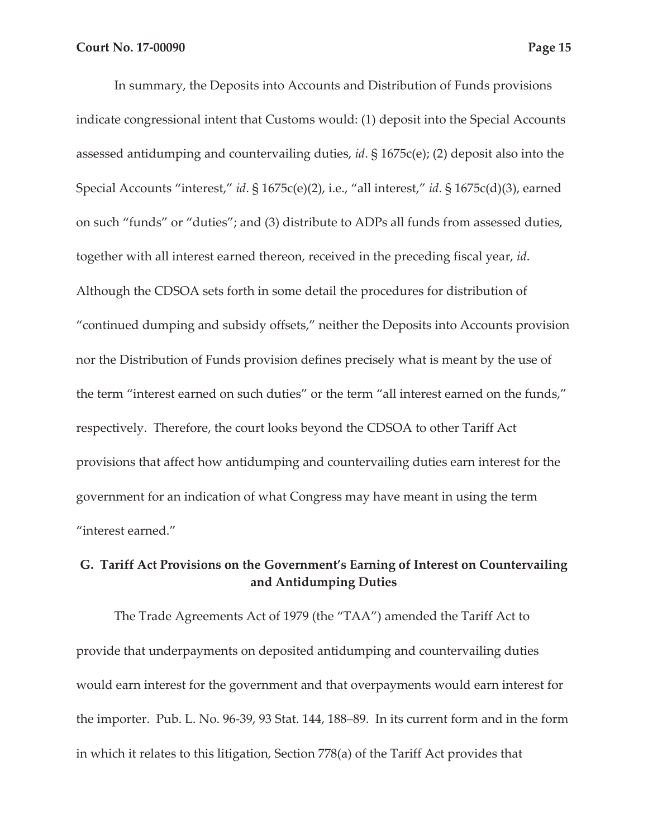In summary, the Deposits into Accounts and Distribution of Funds provisions indicate congressional intent that Customs would: (1) deposit into the Special Accounts assessed antidumping and countervailing duties, *id*. § 1675c(e); (2) deposit also into the Special Accounts "interest," *id*. § 1675c(e)(2), i.e., "all interest," *id*. § 1675c(d)(3), earned on such "funds" or "duties"; and (3) distribute to ADPs all funds from assessed duties, together with all interest earned thereon, received in the preceding fiscal year, *id*. Although the CDSOA sets forth in some detail the procedures for distribution of "continued dumping and subsidy offsets," neither the Deposits into Accounts provision nor the Distribution of Funds provision defines precisely what is meant by the use of the term "interest earned on such duties" or the term "all interest earned on the funds," respectively. Therefore, the court looks beyond the CDSOA to other Tariff Act provisions that affect how antidumping and countervailing duties earn interest for the government for an indication of what Congress may have meant in using the term "interest earned."

## **G. Tariff Act Provisions on the Government's Earning of Interest on Countervailing and Antidumping Duties**

The Trade Agreements Act of 1979 (the "TAA") amended the Tariff Act to provide that underpayments on deposited antidumping and countervailing duties would earn interest for the government and that overpayments would earn interest for the importer. Pub. L. No. 96-39, 93 Stat. 144, 188–89. In its current form and in the form in which it relates to this litigation, Section 778(a) of the Tariff Act provides that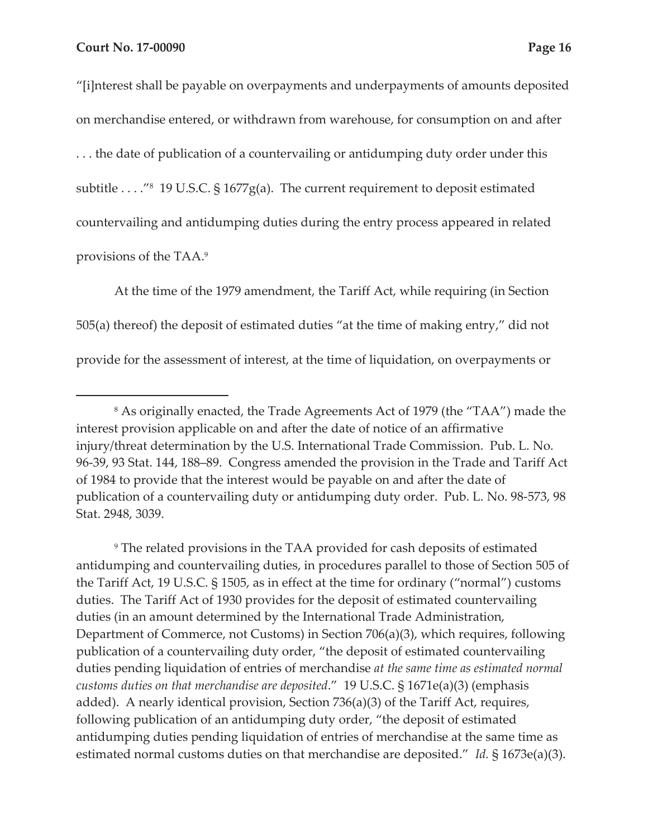"[i]nterest shall be payable on overpayments and underpayments of amounts deposited on merchandise entered, or withdrawn from warehouse, for consumption on and after . . . the date of publication of a countervailing or antidumping duty order under this subtitle . . . . "<sup>8</sup> 19 U.S.C. § 1677g(a). The current requirement to deposit estimated countervailing and antidumping duties during the entry process appeared in related provisions of the TAA.9

At the time of the 1979 amendment, the Tariff Act, while requiring (in Section 505(a) thereof) the deposit of estimated duties "at the time of making entry," did not provide for the assessment of interest, at the time of liquidation, on overpayments or

<sup>9</sup> The related provisions in the TAA provided for cash deposits of estimated antidumping and countervailing duties, in procedures parallel to those of Section 505 of the Tariff Act, 19 U.S.C. § 1505, as in effect at the time for ordinary ("normal") customs duties. The Tariff Act of 1930 provides for the deposit of estimated countervailing duties (in an amount determined by the International Trade Administration, Department of Commerce, not Customs) in Section 706(a)(3), which requires, following publication of a countervailing duty order, "the deposit of estimated countervailing duties pending liquidation of entries of merchandise *at the same time as estimated normal customs duties on that merchandise are deposited*." 19 U.S.C. § 1671e(a)(3) (emphasis added). A nearly identical provision, Section 736(a)(3) of the Tariff Act, requires, following publication of an antidumping duty order, "the deposit of estimated antidumping duties pending liquidation of entries of merchandise at the same time as estimated normal customs duties on that merchandise are deposited." *Id.* § 1673e(a)(3).

<sup>8</sup> As originally enacted, the Trade Agreements Act of 1979 (the "TAA") made the interest provision applicable on and after the date of notice of an affirmative injury/threat determination by the U.S. International Trade Commission. Pub. L. No. 96-39, 93 Stat. 144, 188–89. Congress amended the provision in the Trade and Tariff Act of 1984 to provide that the interest would be payable on and after the date of publication of a countervailing duty or antidumping duty order. Pub. L. No. 98-573, 98 Stat. 2948, 3039.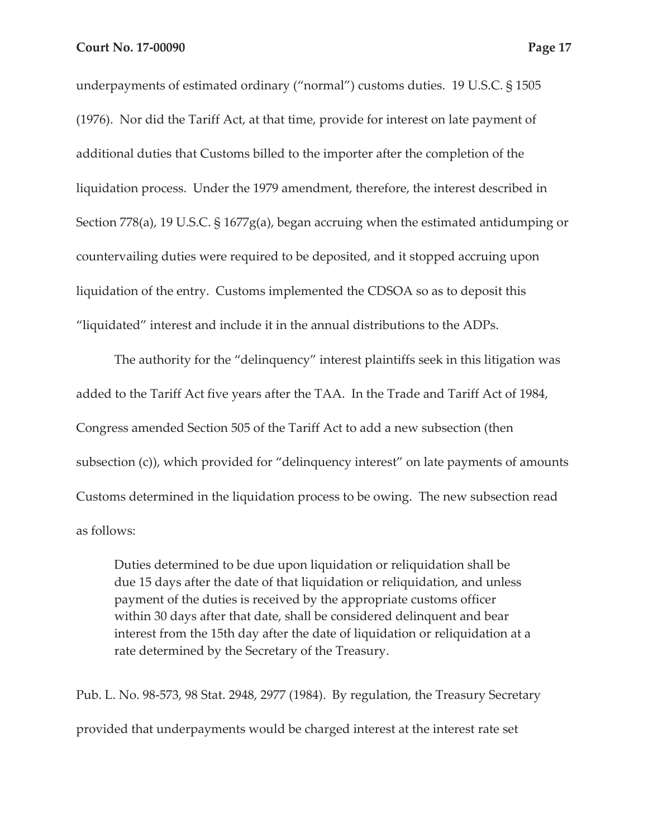underpayments of estimated ordinary ("normal") customs duties. 19 U.S.C. § 1505

(1976). Nor did the Tariff Act, at that time, provide for interest on late payment of additional duties that Customs billed to the importer after the completion of the liquidation process. Under the 1979 amendment, therefore, the interest described in Section 778(a), 19 U.S.C. § 1677g(a), began accruing when the estimated antidumping or countervailing duties were required to be deposited, and it stopped accruing upon liquidation of the entry. Customs implemented the CDSOA so as to deposit this "liquidated" interest and include it in the annual distributions to the ADPs.

The authority for the "delinquency" interest plaintiffs seek in this litigation was added to the Tariff Act five years after the TAA. In the Trade and Tariff Act of 1984, Congress amended Section 505 of the Tariff Act to add a new subsection (then subsection (c)), which provided for "delinquency interest" on late payments of amounts Customs determined in the liquidation process to be owing. The new subsection read as follows:

Duties determined to be due upon liquidation or reliquidation shall be due 15 days after the date of that liquidation or reliquidation, and unless payment of the duties is received by the appropriate customs officer within 30 days after that date, shall be considered delinquent and bear interest from the 15th day after the date of liquidation or reliquidation at a rate determined by the Secretary of the Treasury.

Pub. L. No. 98-573, 98 Stat. 2948, 2977 (1984). By regulation, the Treasury Secretary provided that underpayments would be charged interest at the interest rate set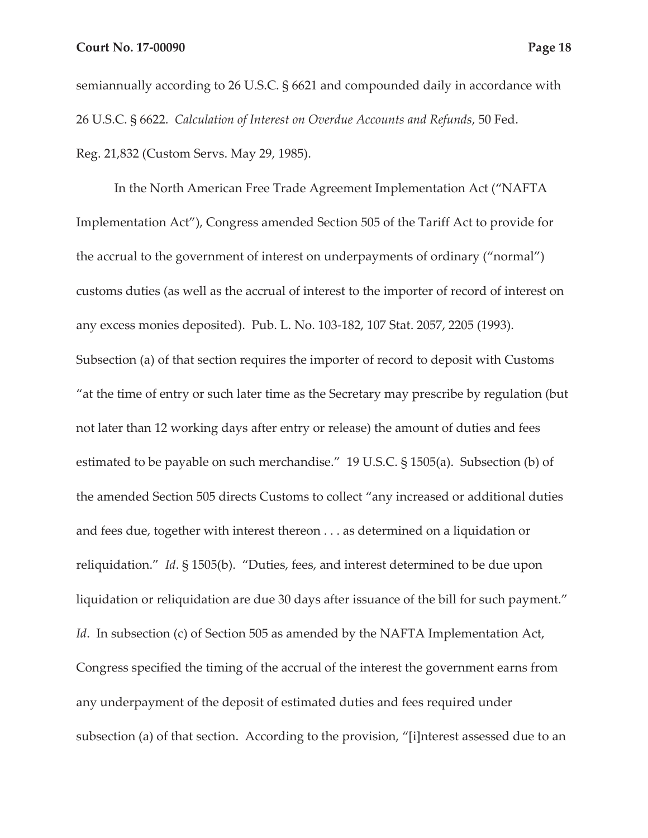semiannually according to 26 U.S.C. § 6621 and compounded daily in accordance with 26 U.S.C. § 6622. *Calculation of Interest on Overdue Accounts and Refunds*, 50 Fed. Reg. 21,832 (Custom Servs. May 29, 1985).

In the North American Free Trade Agreement Implementation Act ("NAFTA Implementation Act"), Congress amended Section 505 of the Tariff Act to provide for the accrual to the government of interest on underpayments of ordinary ("normal") customs duties (as well as the accrual of interest to the importer of record of interest on any excess monies deposited). Pub. L. No. 103-182, 107 Stat. 2057, 2205 (1993). Subsection (a) of that section requires the importer of record to deposit with Customs "at the time of entry or such later time as the Secretary may prescribe by regulation (but not later than 12 working days after entry or release) the amount of duties and fees estimated to be payable on such merchandise." 19 U.S.C. § 1505(a). Subsection (b) of the amended Section 505 directs Customs to collect "any increased or additional duties and fees due, together with interest thereon . . . as determined on a liquidation or reliquidation." *Id*. § 1505(b). "Duties, fees, and interest determined to be due upon liquidation or reliquidation are due 30 days after issuance of the bill for such payment." *Id.* In subsection (c) of Section 505 as amended by the NAFTA Implementation Act, Congress specified the timing of the accrual of the interest the government earns from any underpayment of the deposit of estimated duties and fees required under subsection (a) of that section. According to the provision, "[i]nterest assessed due to an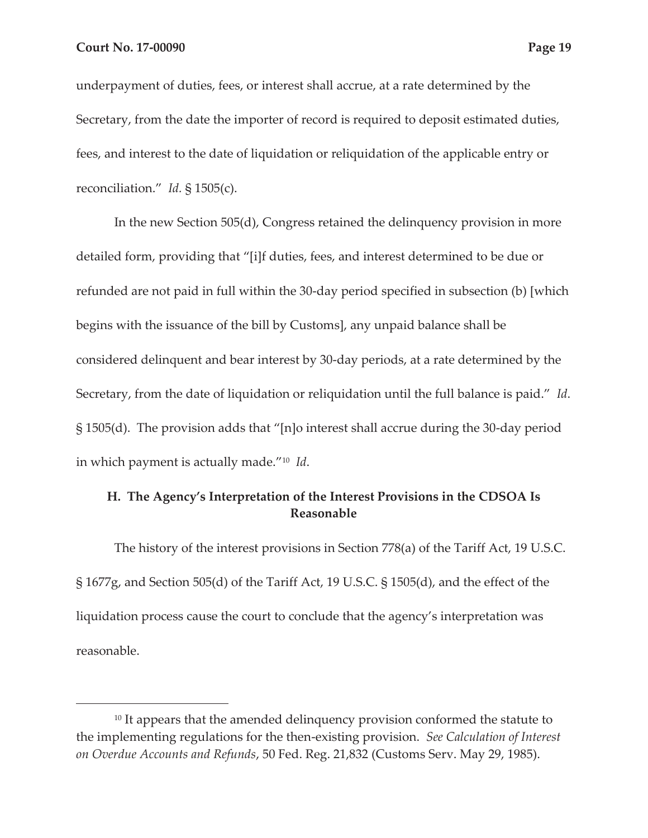underpayment of duties, fees, or interest shall accrue, at a rate determined by the Secretary, from the date the importer of record is required to deposit estimated duties, fees, and interest to the date of liquidation or reliquidation of the applicable entry or reconciliation." *Id.* § 1505(c).

In the new Section 505(d), Congress retained the delinquency provision in more detailed form, providing that "[i]f duties, fees, and interest determined to be due or refunded are not paid in full within the 30-day period specified in subsection (b) [which begins with the issuance of the bill by Customs], any unpaid balance shall be considered delinquent and bear interest by 30-day periods, at a rate determined by the Secretary, from the date of liquidation or reliquidation until the full balance is paid." *Id*. § 1505(d). The provision adds that "[n]o interest shall accrue during the 30-day period in which payment is actually made."10 *Id*.

## **H. The Agency's Interpretation of the Interest Provisions in the CDSOA Is Reasonable**

The history of the interest provisions in Section 778(a) of the Tariff Act, 19 U.S.C. § 1677g, and Section 505(d) of the Tariff Act, 19 U.S.C. § 1505(d), and the effect of the liquidation process cause the court to conclude that the agency's interpretation was reasonable.

<sup>&</sup>lt;sup>10</sup> It appears that the amended delinquency provision conformed the statute to the implementing regulations for the then-existing provision. *See Calculation of Interest on Overdue Accounts and Refunds*, 50 Fed. Reg. 21,832 (Customs Serv. May 29, 1985).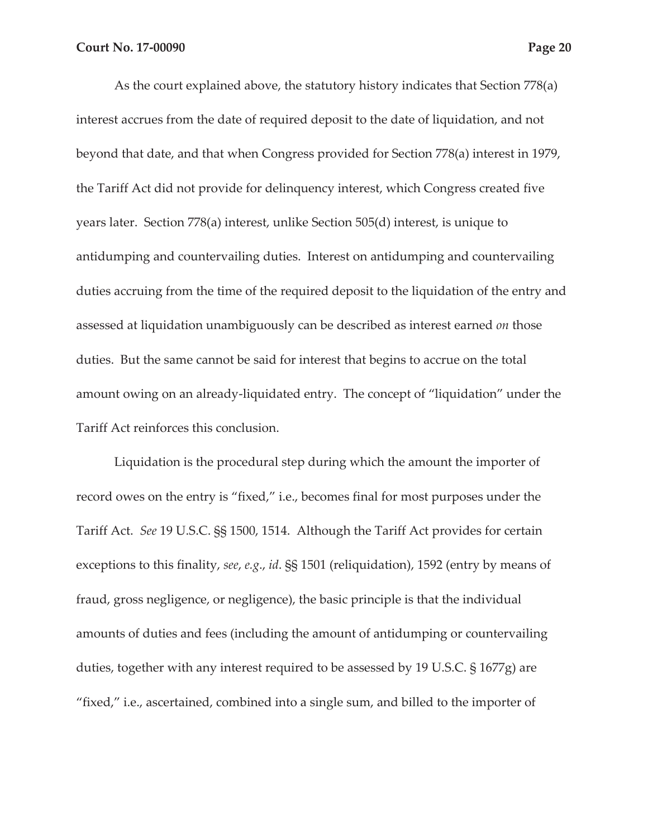As the court explained above, the statutory history indicates that Section 778(a) interest accrues from the date of required deposit to the date of liquidation, and not beyond that date, and that when Congress provided for Section 778(a) interest in 1979, the Tariff Act did not provide for delinquency interest, which Congress created five years later. Section 778(a) interest, unlike Section 505(d) interest, is unique to antidumping and countervailing duties. Interest on antidumping and countervailing duties accruing from the time of the required deposit to the liquidation of the entry and assessed at liquidation unambiguously can be described as interest earned *on* those duties. But the same cannot be said for interest that begins to accrue on the total amount owing on an already-liquidated entry. The concept of "liquidation" under the Tariff Act reinforces this conclusion.

Liquidation is the procedural step during which the amount the importer of record owes on the entry is "fixed," i.e., becomes final for most purposes under the Tariff Act. *See* 19 U.S.C. §§ 1500, 1514. Although the Tariff Act provides for certain exceptions to this finality, *see*, *e.g*., *id*. §§ 1501 (reliquidation), 1592 (entry by means of fraud, gross negligence, or negligence), the basic principle is that the individual amounts of duties and fees (including the amount of antidumping or countervailing duties, together with any interest required to be assessed by 19 U.S.C. § 1677g) are "fixed," i.e., ascertained, combined into a single sum, and billed to the importer of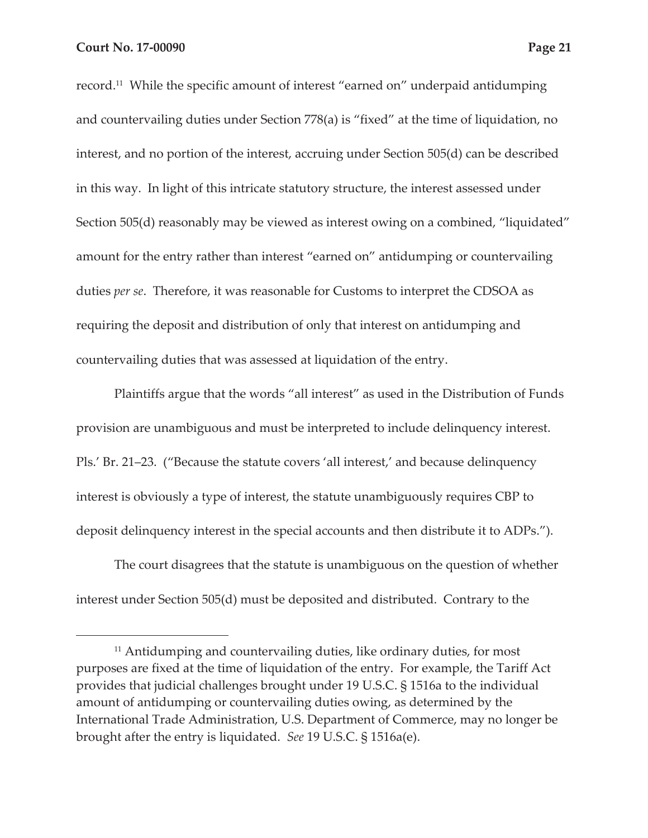record.11 While the specific amount of interest "earned on" underpaid antidumping and countervailing duties under Section 778(a) is "fixed" at the time of liquidation, no interest, and no portion of the interest, accruing under Section 505(d) can be described in this way. In light of this intricate statutory structure, the interest assessed under Section 505(d) reasonably may be viewed as interest owing on a combined, "liquidated" amount for the entry rather than interest "earned on" antidumping or countervailing duties *per se*. Therefore, it was reasonable for Customs to interpret the CDSOA as requiring the deposit and distribution of only that interest on antidumping and countervailing duties that was assessed at liquidation of the entry.

Plaintiffs argue that the words "all interest" as used in the Distribution of Funds provision are unambiguous and must be interpreted to include delinquency interest. Pls.' Br. 21–23. ("Because the statute covers 'all interest,' and because delinquency interest is obviously a type of interest, the statute unambiguously requires CBP to deposit delinquency interest in the special accounts and then distribute it to ADPs.").

The court disagrees that the statute is unambiguous on the question of whether interest under Section 505(d) must be deposited and distributed. Contrary to the

<sup>&</sup>lt;sup>11</sup> Antidumping and countervailing duties, like ordinary duties, for most purposes are fixed at the time of liquidation of the entry. For example, the Tariff Act provides that judicial challenges brought under 19 U.S.C. § 1516a to the individual amount of antidumping or countervailing duties owing, as determined by the International Trade Administration, U.S. Department of Commerce, may no longer be brought after the entry is liquidated. *See* 19 U.S.C. § 1516a(e).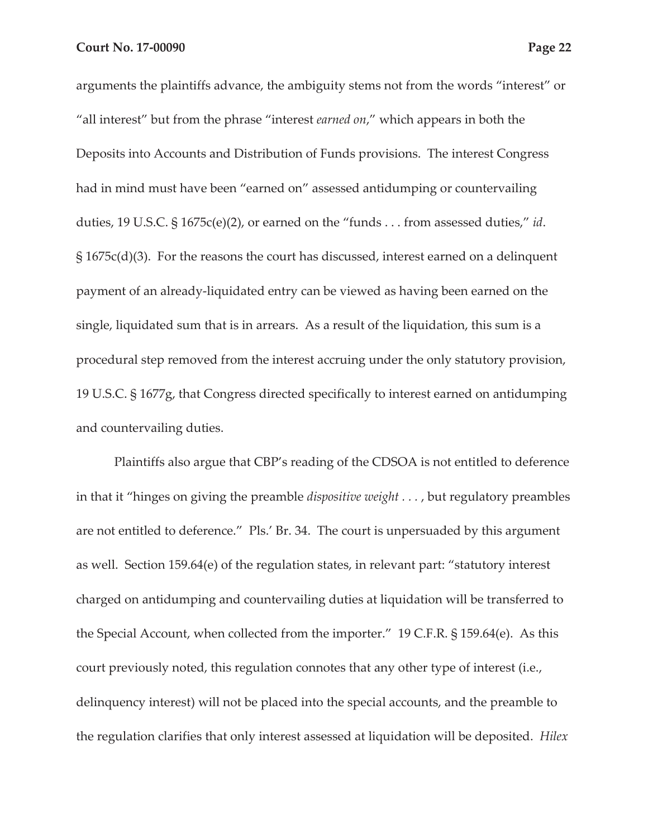arguments the plaintiffs advance, the ambiguity stems not from the words "interest" or "all interest" but from the phrase "interest *earned on*," which appears in both the Deposits into Accounts and Distribution of Funds provisions. The interest Congress had in mind must have been "earned on" assessed antidumping or countervailing duties, 19 U.S.C. § 1675c(e)(2), or earned on the "funds . . . from assessed duties," *id*. § 1675c(d)(3). For the reasons the court has discussed, interest earned on a delinquent payment of an already-liquidated entry can be viewed as having been earned on the single, liquidated sum that is in arrears. As a result of the liquidation, this sum is a procedural step removed from the interest accruing under the only statutory provision, 19 U.S.C. § 1677g, that Congress directed specifically to interest earned on antidumping and countervailing duties.

Plaintiffs also argue that CBP's reading of the CDSOA is not entitled to deference in that it "hinges on giving the preamble *dispositive weight . . .* , but regulatory preambles are not entitled to deference." Pls.' Br. 34. The court is unpersuaded by this argument as well. Section 159.64(e) of the regulation states, in relevant part: "statutory interest charged on antidumping and countervailing duties at liquidation will be transferred to the Special Account, when collected from the importer." 19 C.F.R. § 159.64(e). As this court previously noted, this regulation connotes that any other type of interest (i.e., delinquency interest) will not be placed into the special accounts, and the preamble to the regulation clarifies that only interest assessed at liquidation will be deposited. *Hilex*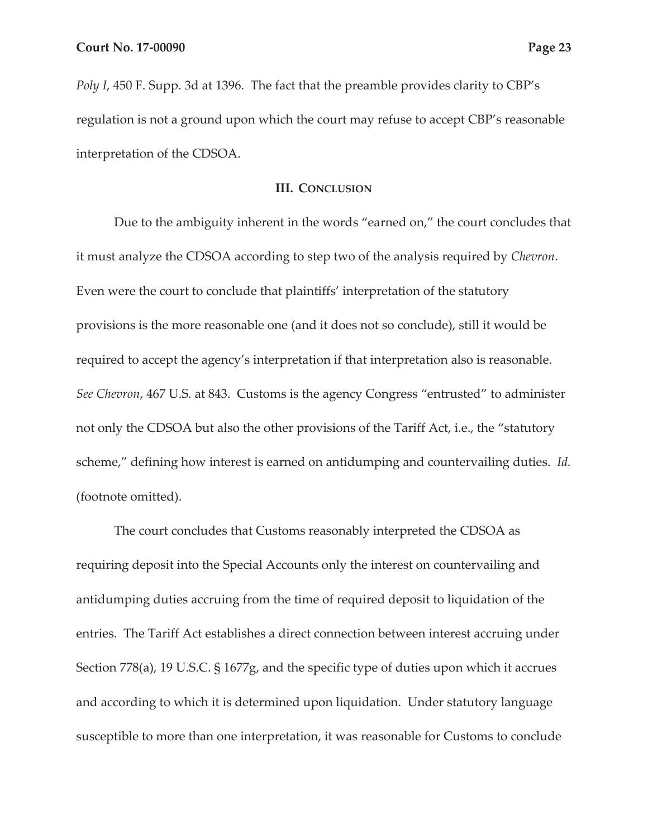*Poly I*, 450 F. Supp. 3d at 1396. The fact that the preamble provides clarity to CBP's regulation is not a ground upon which the court may refuse to accept CBP's reasonable interpretation of the CDSOA.

#### **III. CONCLUSION**

Due to the ambiguity inherent in the words "earned on," the court concludes that it must analyze the CDSOA according to step two of the analysis required by *Chevron*. Even were the court to conclude that plaintiffs' interpretation of the statutory provisions is the more reasonable one (and it does not so conclude), still it would be required to accept the agency's interpretation if that interpretation also is reasonable. *See Chevron*, 467 U.S. at 843. Customs is the agency Congress "entrusted" to administer not only the CDSOA but also the other provisions of the Tariff Act, i.e., the "statutory scheme," defining how interest is earned on antidumping and countervailing duties. *Id.* (footnote omitted).

The court concludes that Customs reasonably interpreted the CDSOA as requiring deposit into the Special Accounts only the interest on countervailing and antidumping duties accruing from the time of required deposit to liquidation of the entries. The Tariff Act establishes a direct connection between interest accruing under Section 778(a), 19 U.S.C. § 1677g, and the specific type of duties upon which it accrues and according to which it is determined upon liquidation. Under statutory language susceptible to more than one interpretation, it was reasonable for Customs to conclude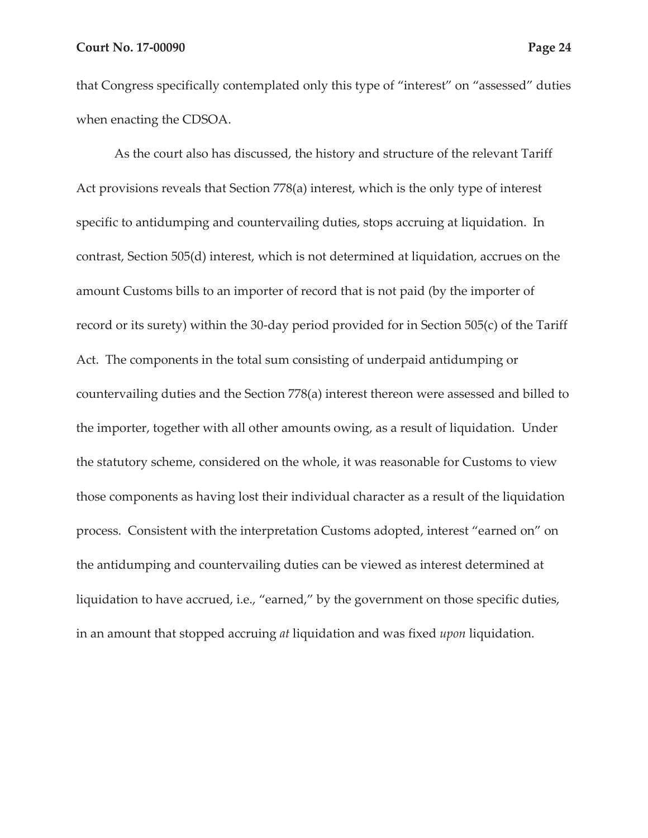that Congress specifically contemplated only this type of "interest" on "assessed" duties when enacting the CDSOA.

As the court also has discussed, the history and structure of the relevant Tariff Act provisions reveals that Section 778(a) interest, which is the only type of interest specific to antidumping and countervailing duties, stops accruing at liquidation. In contrast, Section 505(d) interest, which is not determined at liquidation, accrues on the amount Customs bills to an importer of record that is not paid (by the importer of record or its surety) within the 30-day period provided for in Section 505(c) of the Tariff Act. The components in the total sum consisting of underpaid antidumping or countervailing duties and the Section 778(a) interest thereon were assessed and billed to the importer, together with all other amounts owing, as a result of liquidation. Under the statutory scheme, considered on the whole, it was reasonable for Customs to view those components as having lost their individual character as a result of the liquidation process. Consistent with the interpretation Customs adopted, interest "earned on" on the antidumping and countervailing duties can be viewed as interest determined at liquidation to have accrued, i.e., "earned," by the government on those specific duties, in an amount that stopped accruing *at* liquidation and was fixed *upon* liquidation.